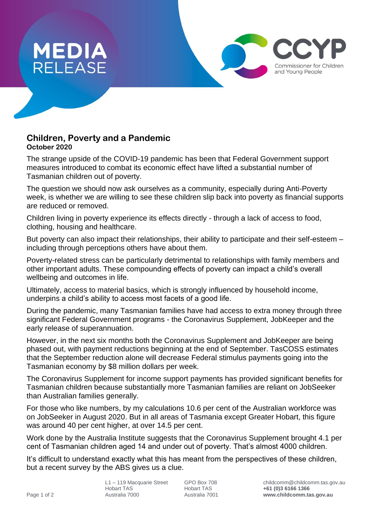

## **Children, Poverty and a Pandemic October 2020**

The strange upside of the COVID-19 pandemic has been that Federal Government support measures introduced to combat its economic effect have lifted a substantial number of Tasmanian children out of poverty.

The question we should now ask ourselves as a community, especially during Anti-Poverty week, is whether we are willing to see these children slip back into poverty as financial supports are reduced or removed.

Children living in poverty experience its effects directly - through a lack of access to food, clothing, housing and healthcare.

But poverty can also impact their relationships, their ability to participate and their self-esteem – including through perceptions others have about them.

Poverty-related stress can be particularly detrimental to relationships with family members and other important adults. These compounding effects of poverty can impact a child's overall wellbeing and outcomes in life.

Ultimately, access to material basics, which is strongly influenced by household income, underpins a child's ability to access most facets of a good life.

During the pandemic, many Tasmanian families have had access to extra money through three significant Federal Government programs - the Coronavirus Supplement, JobKeeper and the early release of superannuation.

However, in the next six months both the Coronavirus Supplement and JobKeeper are being phased out, with payment reductions beginning at the end of September. TasCOSS estimates that the September reduction alone will decrease Federal stimulus payments going into the Tasmanian economy by \$8 million dollars per week.

The Coronavirus Supplement for income support payments has provided significant benefits for Tasmanian children because substantially more Tasmanian families are reliant on JobSeeker than Australian families generally.

For those who like numbers, by my calculations 10.6 per cent of the Australian workforce was on JobSeeker in August 2020. But in all areas of Tasmania except Greater Hobart, this figure was around 40 per cent higher, at over 14.5 per cent.

Work done by the Australia Institute suggests that the Coronavirus Supplement brought 4.1 per cent of Tasmanian children aged 14 and under out of poverty. That's almost 4000 children.

It's difficult to understand exactly what this has meant from the perspectives of these children, but a recent survey by the ABS gives us a clue.

Hobart TAS Hobart TAS **+61 (0)3 6166 1366**

Commissioner for Children and Young People